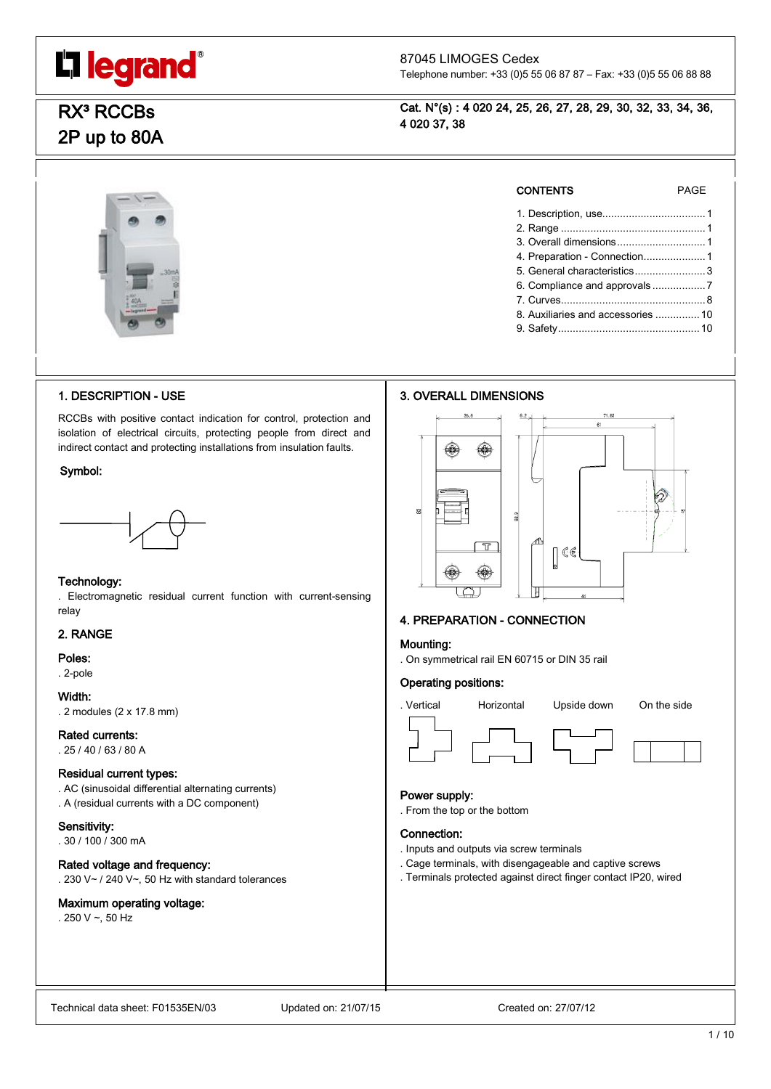

# 87045 LIMOGES Cedex

Telephone number: +33 (0)5 55 06 87 87 – Fax: +33 (0)5 55 06 88 88

# RX<sup>3</sup> RCCBs 2P up to 80A

Cat. N°(s) : 4 020 24, 25, 26, 27, 28, 29, 30, 32, 33, 34, 36, 4 020 37, 38



#### CONTENTS PAGE

1. Description, use...................................1 2. Range .................................................1 3. Overall dimensions..............................1 4. Preparation - Connection.....................1 5. General characteristics........................3 6. Compliance and approvals ..................7 7. Curves.................................................8 8. Auxiliaries and accessories ...............10 9. Safety................................................10

# 1. DESCRIPTION - USE

RCCBs with positive contact indication for control, protection and isolation of electrical circuits, protecting people from direct and indirect contact and protecting installations from insulation faults.

#### Symbol:



### Technology:

. Electromagnetic residual current function with current-sensing relay

#### 2. RANGE

Poles:

#### . 2-pole

Width:

. 2 modules (2 x 17.8 mm)

### Rated currents:

. 25 / 40 / 63 / 80 A

### Residual current types:

. AC (sinusoidal differential alternating currents) . A (residual currents with a DC component)

#### Sensitivity:

. 30 / 100 / 300 mA

#### Rated voltage and frequency:

. 230 V~ / 240 V~, 50 Hz with standard tolerances

# Maximum operating voltage:

. 250 V  $\sim$ , 50 Hz





# 4. PREPARATION - CONNECTION

#### Mounting:

. On symmetrical rail EN 60715 or DIN 35 rail

#### Operating positions:





#### Power supply:

. From the top or the bottom

#### Connection:

. Inputs and outputs via screw terminals

- . Cage terminals, with disengageable and captive screws
- . Terminals protected against direct finger contact IP20, wired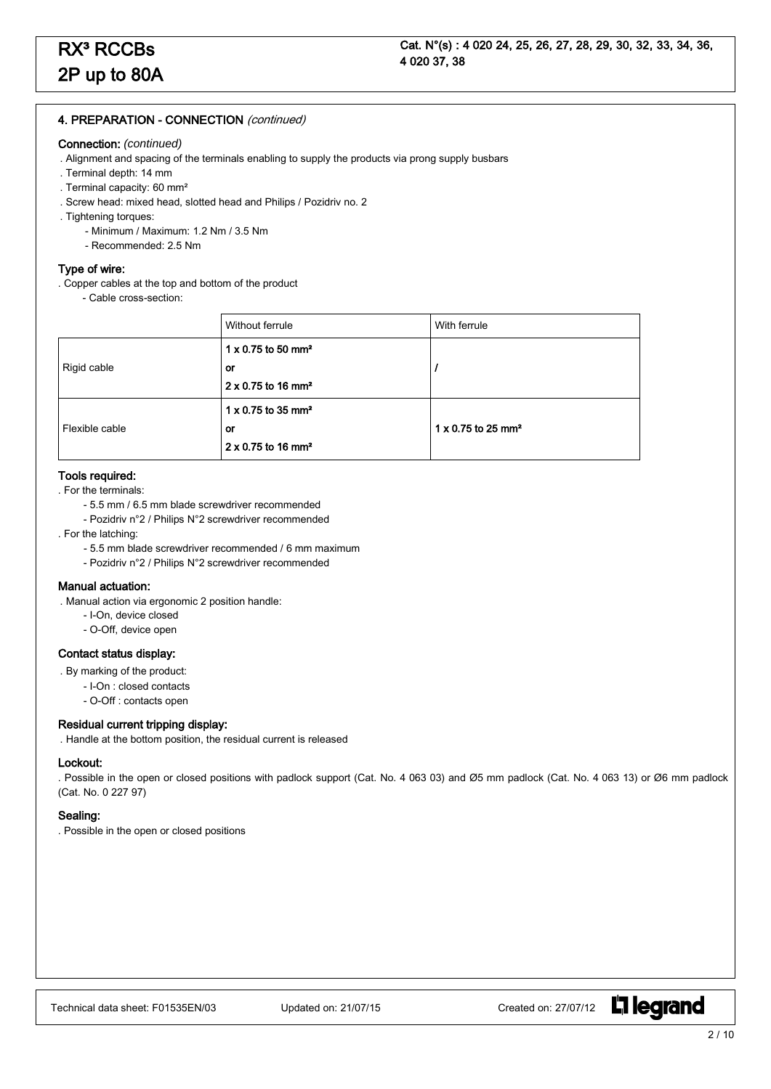#### 4. PREPARATION - CONNECTION (continued)

#### Connection: *(continued)*

- . Alignment and spacing of the terminals enabling to supply the products via prong supply busbars
- . Terminal depth: 14 mm
- . Terminal capacity: 60 mm²
- . Screw head: mixed head, slotted head and Philips / Pozidriv no. 2
- . Tightening torques:
	- Minimum / Maximum: 1.2 Nm / 3.5 Nm
	- Recommended: 2.5 Nm

#### Type of wire:

- . Copper cables at the top and bottom of the product
	- Cable cross-section:

|                | Without ferrule                                                                      | With ferrule |                                       |
|----------------|--------------------------------------------------------------------------------------|--------------|---------------------------------------|
|                | $1 \times 0.75$ to 50 mm <sup>2</sup>                                                |              |                                       |
| Rigid cable    | or                                                                                   |              |                                       |
|                | $2 \times 0.75$ to 16 mm <sup>2</sup>                                                |              |                                       |
| Flexible cable | $1 \times 0.75$ to 35 mm <sup>2</sup><br>$1 \times 0.75$ to 25 mm <sup>2</sup><br>or |              |                                       |
|                |                                                                                      |              | $2 \times 0.75$ to 16 mm <sup>2</sup> |

# Tools required:

- . For the terminals:
	- 5.5 mm / 6.5 mm blade screwdriver recommended
	- Pozidriv n°2 / Philips N°2 screwdriver recommended
- . For the latching:
	- 5.5 mm blade screwdriver recommended / 6 mm maximum
	- Pozidriv n°2 / Philips N°2 screwdriver recommended

### Manual actuation:

- . Manual action via ergonomic 2 position handle:
	- I-On, device closed
	- O-Off, device open

#### Contact status display:

- . By marking of the product:
	- I-On : closed contacts
	- O-Off : contacts open

#### Residual current tripping display:

. Handle at the bottom position, the residual current is released

#### Lockout:

. Possible in the open or closed positions with padlock support (Cat. No. 4 063 03) and Ø5 mm padlock (Cat. No. 4 063 13) or Ø6 mm padlock (Cat. No. 0 227 97)

### Sealing:

. Possible in the open or closed positions

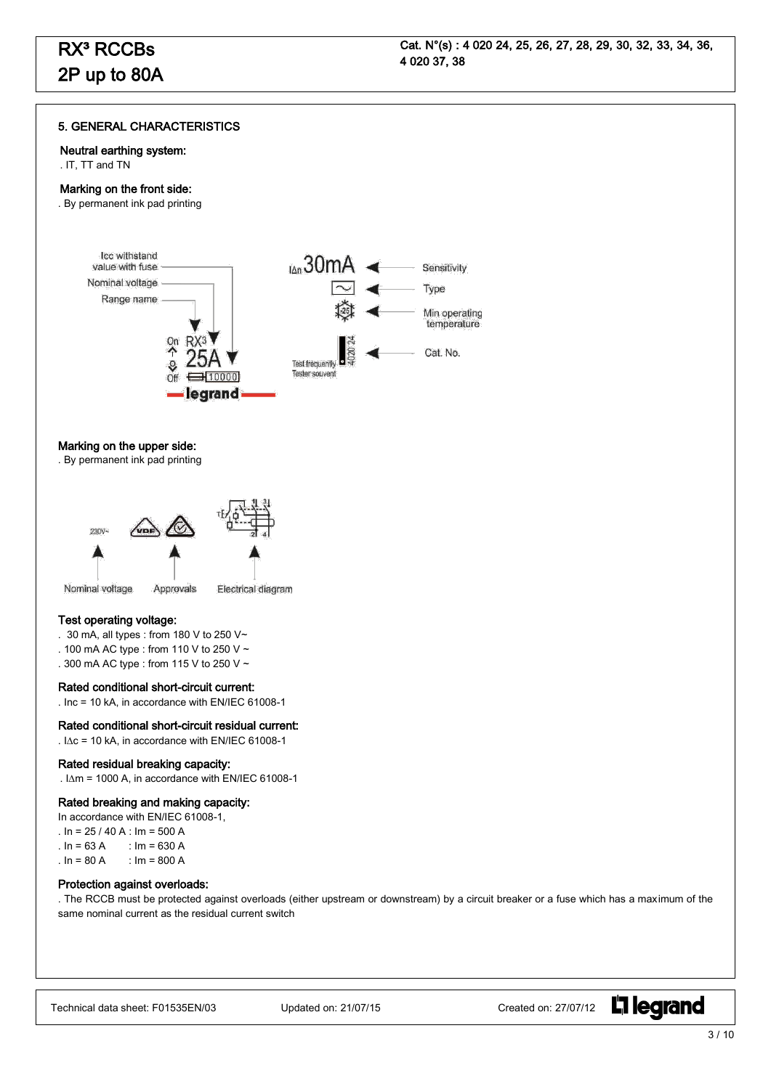#### 5. GENERAL CHARACTERISTICS

#### Neutral earthing system:

. IT, TT and TN

٦

#### Marking on the front side:

. By permanent ink pad printing



#### Marking on the upper side:

. By permanent ink pad printing



#### Test operating voltage:

- . 30 mA, all types : from 180 V to 250 V~
- . 100 mA AC type : from 110 V to 250 V ~
- . 300 mA AC type : from 115 V to 250 V ~

#### Rated conditional short-circuit current:

. Inc = 10 kA, in accordance with EN/IEC 61008-1

#### Rated conditional short-circuit residual current:

.  $IAC = 10$  kA, in accordance with EN/IEC 61008-1

#### Rated residual breaking capacity:

.  $\Delta m = 1000$  A, in accordance with EN/IEC 61008-1

#### Rated breaking and making capacity:

In accordance with EN/IEC 61008-1,

- .  $In = 25 / 40 A$  :  $Im = 500 A$
- $\ln = 63 \text{ A}$  :  $\ln = 630 \text{ A}$
- .  $\ln = 80 \text{ A}$  :  $\ln = 800 \text{ A}$

#### Protection against overloads:

. The RCCB must be protected against overloads (either upstream or downstream) by a circuit breaker or a fuse which has a maximum of the same nominal current as the residual current switch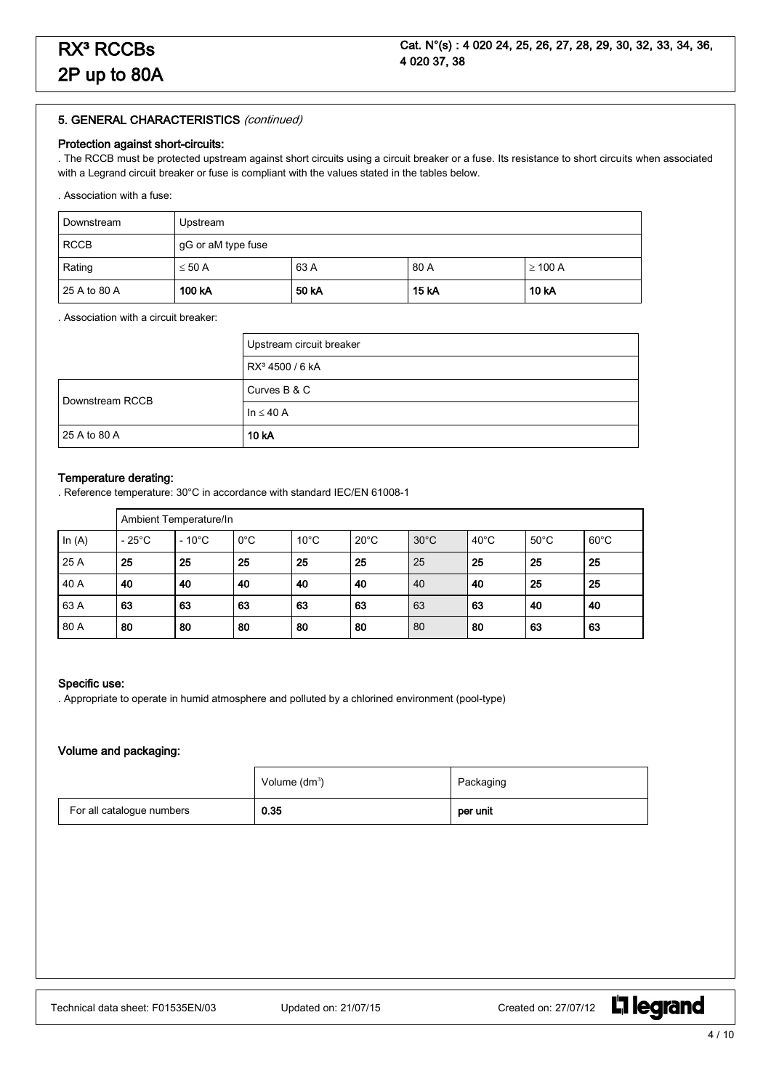#### Protection against short-circuits:

. The RCCB must be protected upstream against short circuits using a circuit breaker or a fuse. Its resistance to short circuits when associated with a Legrand circuit breaker or fuse is compliant with the values stated in the tables below.

. Association with a fuse:

| Downstream   | Upstream           |       |              |              |
|--------------|--------------------|-------|--------------|--------------|
| <b>RCCB</b>  | gG or aM type fuse |       |              |              |
| Rating       | $\leq 50$ A        | 63 A  | 80 A         | $\geq$ 100 A |
| 25 A to 80 A | 100 kA             | 50 kA | <b>15 kA</b> | 10 kA        |

#### . Association with a circuit breaker:

|                 | Upstream circuit breaker    |
|-----------------|-----------------------------|
|                 | RX <sup>3</sup> 4500 / 6 kA |
| Downstream RCCB | Curves B & C                |
|                 | $\ln \leq 40$ A             |
| 25 A to 80 A    | 10 kA                       |

#### Temperature derating:

. Reference temperature: 30°C in accordance with standard IEC/EN 61008-1

|          | Ambient Temperature/In |                 |               |                |                |                |                |                |                |
|----------|------------------------|-----------------|---------------|----------------|----------------|----------------|----------------|----------------|----------------|
| In $(A)$ | $-25^{\circ}$ C        | $-10^{\circ}$ C | $0^{\circ}$ C | $10^{\circ}$ C | $20^{\circ}$ C | $30^{\circ}$ C | $40^{\circ}$ C | $50^{\circ}$ C | $60^{\circ}$ C |
| 25 A     | 25                     | 25              | 25            | 25             | 25             | 25             | 25             | 25             | 25             |
| 40 A     | 40                     | 40              | 40            | 40             | 40             | 40             | 40             | 25             | 25             |
| 63 A     | 63                     | 63              | 63            | 63             | 63             | 63             | 63             | 40             | 40             |
| 80 A     | 80                     | 80              | 80            | 80             | 80             | 80             | 80             | 63             | 63             |

#### Specific use:

. Appropriate to operate in humid atmosphere and polluted by a chlorined environment (pool-type)

#### Volume and packaging:

|                           | Volume $(dm^3)$ | Packaging |
|---------------------------|-----------------|-----------|
| For all catalogue numbers | 0.35            | per unit  |

**L'i legrand**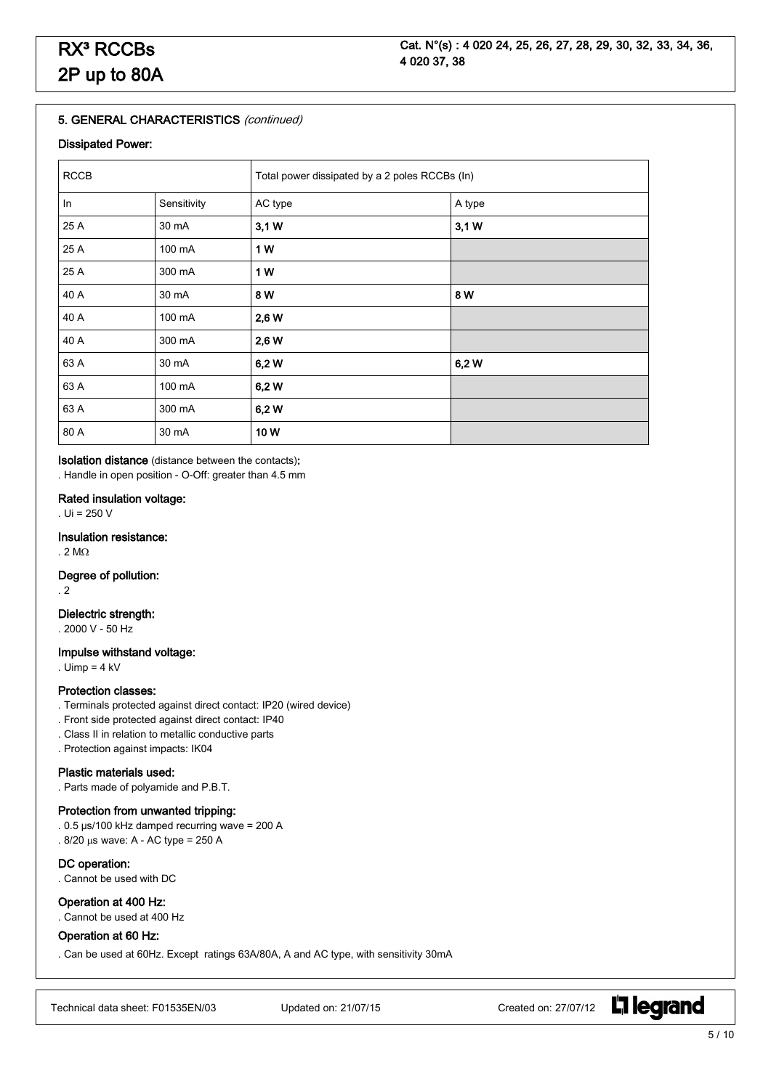#### Dissipated Power:

| <b>RCCB</b> |             | Total power dissipated by a 2 poles RCCBs (In) |        |  |
|-------------|-------------|------------------------------------------------|--------|--|
| In          | Sensitivity | AC type                                        | A type |  |
| 25 A        | 30 mA       | 3,1 W                                          | 3,1 W  |  |
| 25 A        | 100 mA      | 1 W                                            |        |  |
| 25 A        | 300 mA      | 1 W                                            |        |  |
| 40 A        | 30 mA       | 8 W                                            | 8W     |  |
| 40 A        | 100 mA      | 2,6 W                                          |        |  |
| 40 A        | 300 mA      | 2,6 W                                          |        |  |
| 63 A        | 30 mA       | 6,2W                                           | 6,2W   |  |
| 63 A        | 100 mA      | 6,2W                                           |        |  |
| 63 A        | 300 mA      | 6,2W                                           |        |  |
| 80 A        | 30 mA       | 10W                                            |        |  |

Isolation distance (distance between the contacts): . Handle in open position - O-Off: greater than 4.5 mm

#### Rated insulation voltage:

. Ui = 250 V

#### Insulation resistance:

. 2 M $\Omega$ 

Degree of pollution:

. 2

### Dielectric strength:

. 2000 V - 50 Hz

#### Impulse withstand voltage:

. Uimp =  $4$  kV

#### Protection classes:

- . Terminals protected against direct contact: IP20 (wired device)
- . Front side protected against direct contact: IP40
- . Class II in relation to metallic conductive parts
- . Protection against impacts: IK04

# Plastic materials used:

. Parts made of polyamide and P.B.T.

# Protection from unwanted tripping:

- . 0.5 µs/100 kHz damped recurring wave = 200 A
- .  $8/20$  µs wave: A AC type = 250 A

#### DC operation:

. Cannot be used with DC

#### Operation at 400 Hz:

. Cannot be used at 400 Hz

#### Operation at 60 Hz:

. Can be used at 60Hz. Except ratings 63A/80A, A and AC type, with sensitivity 30mA

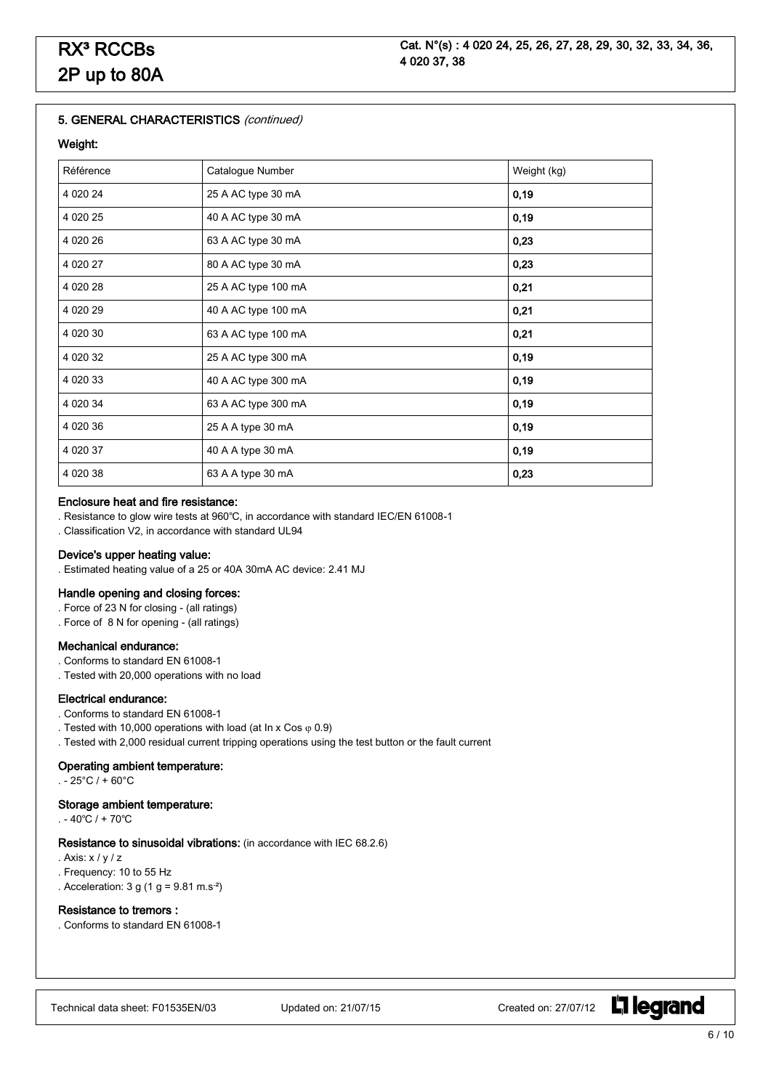#### Weight:

| Référence | Catalogue Number    | Weight (kg) |
|-----------|---------------------|-------------|
| 4 0 20 24 | 25 A AC type 30 mA  | 0,19        |
| 4 0 20 25 | 40 A AC type 30 mA  | 0,19        |
| 4 0 20 26 | 63 A AC type 30 mA  | 0,23        |
| 4 0 20 27 | 80 A AC type 30 mA  | 0,23        |
| 4 0 20 28 | 25 A AC type 100 mA | 0,21        |
| 4 0 20 29 | 40 A AC type 100 mA | 0,21        |
| 4 0 20 30 | 63 A AC type 100 mA | 0,21        |
| 4 0 20 32 | 25 A AC type 300 mA | 0,19        |
| 4 0 20 33 | 40 A AC type 300 mA | 0,19        |
| 4 0 20 34 | 63 A AC type 300 mA | 0, 19       |
| 4 0 20 36 | 25 A A type 30 mA   | 0,19        |
| 4 0 20 37 | 40 A A type 30 mA   | 0, 19       |
| 4 0 20 38 | 63 A A type 30 mA   | 0,23        |

### Enclosure heat and fire resistance:

- . Resistance to glow wire tests at 960℃, in accordance with standard IEC/EN 61008-1
- . Classification V2, in accordance with standard UL94

#### Device's upper heating value:

. Estimated heating value of a 25 or 40A 30mA AC device: 2.41 MJ

### Handle opening and closing forces:

- . Force of 23 N for closing (all ratings)
- . Force of 8 N for opening (all ratings)

# Mechanical endurance:

- . Conforms to standard EN 61008-1
- . Tested with 20,000 operations with no load

#### Electrical endurance:

- . Conforms to standard EN 61008-1
- . Tested with 10,000 operations with load (at In x Cos  $\varphi$  0.9)
- . Tested with 2,000 residual current tripping operations using the test button or the fault current

#### Operating ambient temperature:

 $. -25^{\circ}C / +60^{\circ}C$ 

#### Storage ambient temperature:

. - 40℃ / + 70℃

#### Resistance to sinusoidal vibrations: (in accordance with IEC 68.2.6)

- . Axis: x / y / z
- . Frequency: 10 to 55 Hz
- . Acceleration:  $3 g (1 g = 9.81 m.s<sup>-2</sup>)$

#### Resistance to tremors :

. Conforms to standard EN 61008-1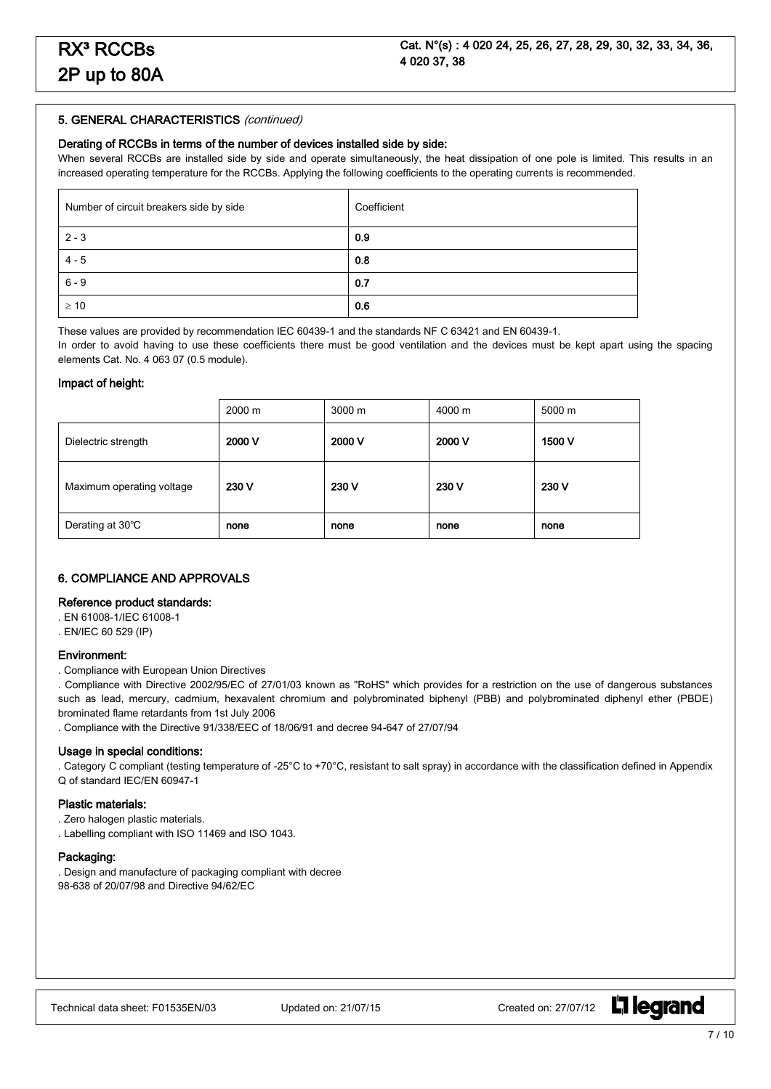#### Derating of RCCBs in terms of the number of devices installed side by side:

When several RCCBs are installed side by side and operate simultaneously, the heat dissipation of one pole is limited. This results in an increased operating temperature for the RCCBs. Applying the following coefficients to the operating currents is recommended.

| Number of circuit breakers side by side | Coefficient |
|-----------------------------------------|-------------|
| $2 - 3$                                 | 0.9         |
| $4 - 5$                                 | 0.8         |
| $6 - 9$                                 | 0.7         |
| $\geq 10$                               | 0.6         |

These values are provided by recommendation IEC 60439-1 and the standards NF C 63421 and EN 60439-1.

In order to avoid having to use these coefficients there must be good ventilation and the devices must be kept apart using the spacing elements Cat. No. 4 063 07 (0.5 module).

#### Impact of height:

|                           | 2000 m | $3000 \text{ m}$ | 4000 m | 5000 m |
|---------------------------|--------|------------------|--------|--------|
| Dielectric strength       | 2000 V | 2000 V           | 2000 V | 1500 V |
| Maximum operating voltage | 230 V  | 230 V            | 230 V  | 230 V  |
| Derating at 30°C          | none   | none             | none   | none   |

# 6. COMPLIANCE AND APPROVALS

### Reference product standards:

. EN 61008-1/IEC 61008-1

. EN/IEC 60 529 (IP)

#### Environment:

. Compliance with European Union Directives

. Compliance with Directive 2002/95/EC of 27/01/03 known as "RoHS" which provides for a restriction on the use of dangerous substances such as lead, mercury, cadmium, hexavalent chromium and polybrominated biphenyl (PBB) and polybrominated diphenyl ether (PBDE) brominated flame retardants from 1st July 2006

. Compliance with the Directive 91/338/EEC of 18/06/91 and decree 94-647 of 27/07/94

#### Usage in special conditions:

. Category C compliant (testing temperature of -25°C to +70°C, resistant to salt spray) in accordance with the classification defined in Appendix Q of standard IEC/EN 60947-1

#### Plastic materials:

. Zero halogen plastic materials.

. Labelling compliant with ISO 11469 and ISO 1043.

#### Packaging:

. Design and manufacture of packaging compliant with decree 98-638 of 20/07/98 and Directive 94/62/EC

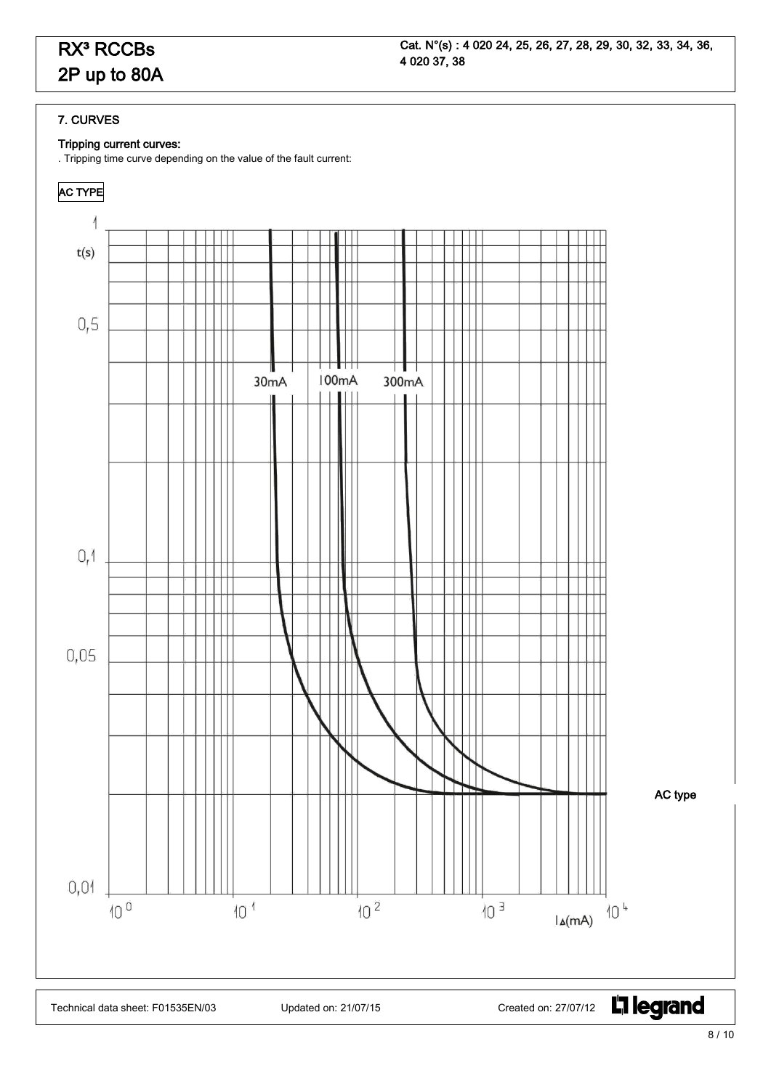# RX<sup>3</sup> RCCBs 2P up to 80A

# 7. CURVES

# Tripping current curves:

. Tripping time curve depending on the value of the fault current:

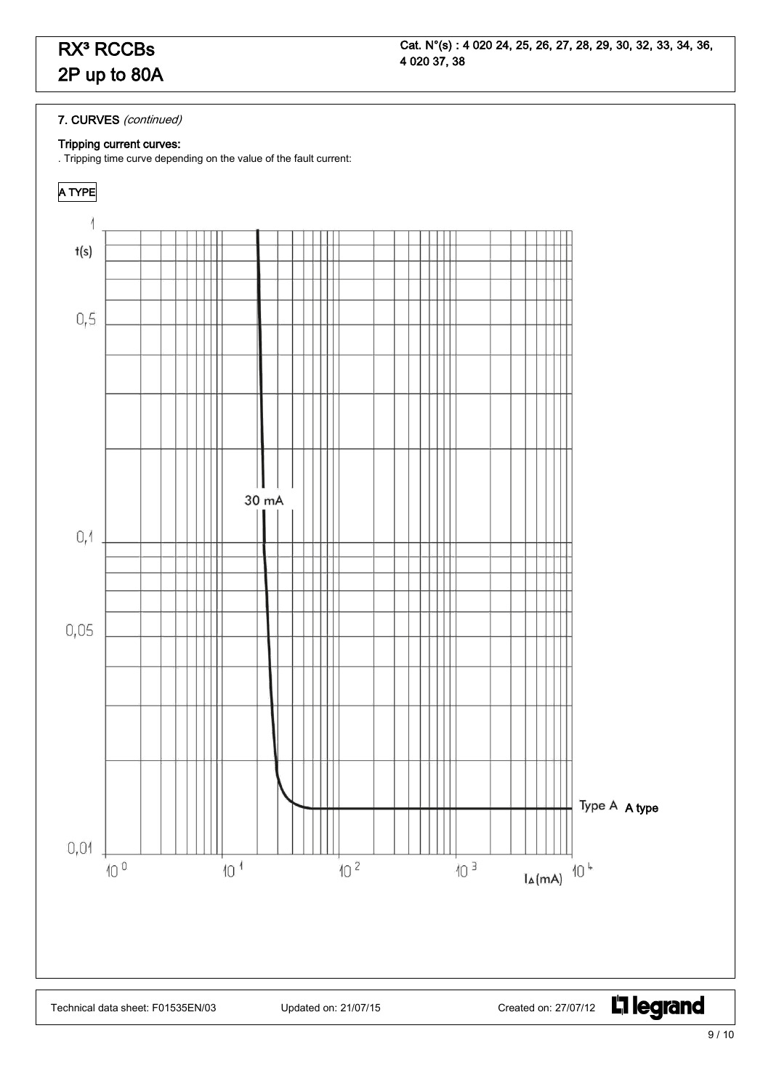# 7. CURVES (continued)

# Tripping current curves:

. Tripping time curve depending on the value of the fault current: